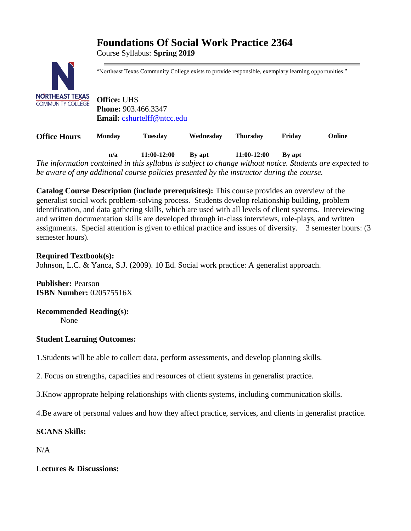# **Foundations Of Social Work Practice 2364**

Course Syllabus: **Spring 2019**



"Northeast Texas Community College exists to provide responsible, exemplary learning opportunities."

**Office:** UHS **Phone:** 903.466.3347 **Email:** [cshurtelff@ntcc.edu](mailto:cshurtelff@ntcc.edu)

**Office Hours Monday Tuesday Wednesday Thursday Friday Online**

**n/a 11:00-12:00 By apt 11:00-12:00 By apt**  *The information contained in this syllabus is subject to change without notice. Students are expected to be aware of any additional course policies presented by the instructor during the course.*

**Catalog Course Description (include prerequisites):** This course provides an overview of the generalist social work problem-solving process. Students develop relationship building, problem identification, and data gathering skills, which are used with all levels of client systems. Interviewing and written documentation skills are developed through in-class interviews, role-plays, and written assignments. Special attention is given to ethical practice and issues of diversity. 3 semester hours: (3 semester hours).

#### **Required Textbook(s):**

Johnson, L.C. & Yanca, S.J. (2009). 10 Ed. Social work practice: A generalist approach.

**Publisher:** Pearson **ISBN Number:** 020575516X

#### **Recommended Reading(s):**

None

#### **Student Learning Outcomes:**

1.Students will be able to collect data, perform assessments, and develop planning skills.

2. Focus on strengths, capacities and resources of client systems in generalist practice.

3.Know approprate helping relationships with clients systems, including communication skills.

4.Be aware of personal values and how they affect practice, services, and clients in generalist practice.

#### **SCANS Skills:**

 $N/A$ 

**Lectures & Discussions:**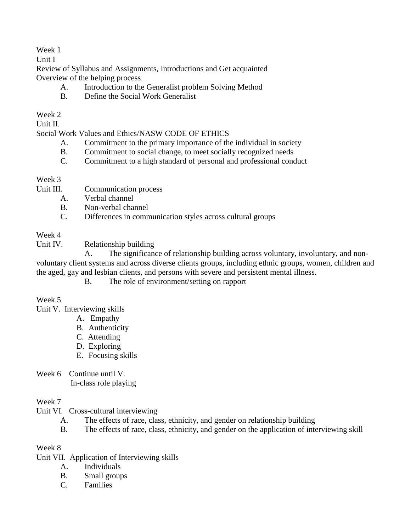### Week 1

Unit I

Review of Syllabus and Assignments, Introductions and Get acquainted Overview of the helping process

- A. Introduction to the Generalist problem Solving Method
- B. Define the Social Work Generalist

# Week 2

Unit II.

### Social Work Values and Ethics/NASW CODE OF ETHICS

- A. Commitment to the primary importance of the individual in society
- B. Commitment to social change, to meet socially recognized needs
- C. Commitment to a high standard of personal and professional conduct

### Week 3

- Unit III. Communication process
	- A. Verbal channel
	- B. Non-verbal channel
	- C. Differences in communication styles across cultural groups

### Week 4

Unit IV. Relationship building

 A. The significance of relationship building across voluntary, involuntary, and nonvoluntary client systems and across diverse clients groups, including ethnic groups, women, children and the aged, gay and lesbian clients, and persons with severe and persistent mental illness.

B. The role of environment/setting on rapport

# Week 5

Unit V. Interviewing skills

- A. Empathy
- B. Authenticity
- C. Attending
- D. Exploring
- E. Focusing skills
- Week 6 Continue until V. In-class role playing

# Week 7

- Unit VI. Cross-cultural interviewing
	- A. The effects of race, class, ethnicity, and gender on relationship building
	- B. The effects of race, class, ethnicity, and gender on the application of interviewing skill

# Week 8

- Unit VII. Application of Interviewing skills
	- A. Individuals
	- B. Small groups
	- C. Families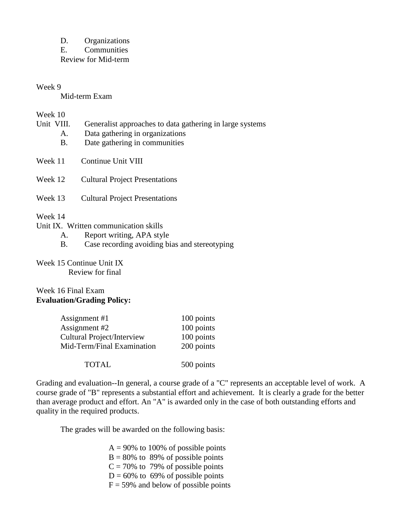D. Organizations

E. Communities Review for Mid-term

#### Week 9

Mid-term Exam

#### Week 10

- Unit VIII. Generalist approaches to data gathering in large systems
	- A. Data gathering in organizations
	- B. Date gathering in communities
- Week 11 Continue Unit VIII
- Week 12 Cultural Project Presentations
- Week 13 Cultural Project Presentations

#### Week 14

- Unit IX. Written communication skills
	- A. Report writing, APA style
	- B. Case recording avoiding bias and stereotyping

# Week 15 Continue Unit IX

Review for final

#### Week 16 Final Exam **Evaluation/Grading Policy:**

| Assignment #1                     | 100 points |
|-----------------------------------|------------|
| Assignment #2                     | 100 points |
| <b>Cultural Project/Interview</b> | 100 points |
| Mid-Term/Final Examination        | 200 points |
|                                   |            |
| <b>TOTAL</b>                      | 500 points |

Grading and evaluation--In general, a course grade of a "C" represents an acceptable level of work. A course grade of "B" represents a substantial effort and achievement. It is clearly a grade for the better than average product and effort. An "A" is awarded only in the case of both outstanding efforts and quality in the required products.

The grades will be awarded on the following basis:

- $A = 90\%$  to 100% of possible points  $B = 80\%$  to 89% of possible points  $C = 70\%$  to 79% of possible points  $D = 60\%$  to 69% of possible points
- $F = 59\%$  and below of possible points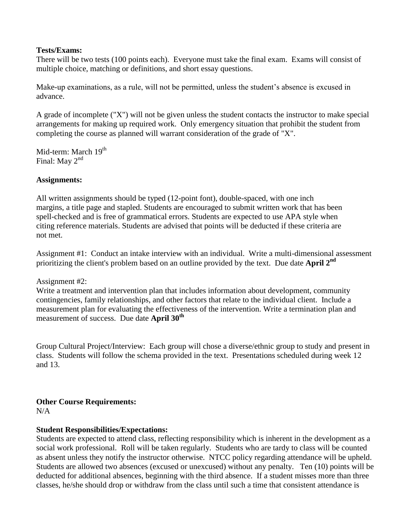#### **Tests/Exams:**

There will be two tests (100 points each). Everyone must take the final exam. Exams will consist of multiple choice, matching or definitions, and short essay questions.

Make-up examinations, as a rule, will not be permitted, unless the student's absence is excused in advance.

A grade of incomplete ("X") will not be given unless the student contacts the instructor to make special arrangements for making up required work. Only emergency situation that prohibit the student from completing the course as planned will warrant consideration of the grade of "X".

Mid-term: March 19<sup>th</sup> Final: May 2<sup>nd</sup>

#### **Assignments:**

All written assignments should be typed (12-point font), double-spaced, with one inch margins, a title page and stapled. Students are encouraged to submit written work that has been spell-checked and is free of grammatical errors. Students are expected to use APA style when citing reference materials. Students are advised that points will be deducted if these criteria are not met.

Assignment #1: Conduct an intake interview with an individual. Write a multi-dimensional assessment prioritizing the client's problem based on an outline provided by the text. Due date **April 2nd**

Assignment #2:

Write a treatment and intervention plan that includes information about development, community contingencies, family relationships, and other factors that relate to the individual client. Include a measurement plan for evaluating the effectiveness of the intervention. Write a termination plan and measurement of success. Due date **April 30th**

Group Cultural Project/Interview: Each group will chose a diverse/ethnic group to study and present in class. Students will follow the schema provided in the text. Presentations scheduled during week 12 and 13.

#### **Other Course Requirements:**

N/A

#### **Student Responsibilities/Expectations:**

Students are expected to attend class, reflecting responsibility which is inherent in the development as a social work professional. Roll will be taken regularly. Students who are tardy to class will be counted as absent unless they notify the instructor otherwise. NTCC policy regarding attendance will be upheld. Students are allowed two absences (excused or unexcused) without any penalty. Ten (10) points will be deducted for additional absences, beginning with the third absence. If a student misses more than three classes, he/she should drop or withdraw from the class until such a time that consistent attendance is